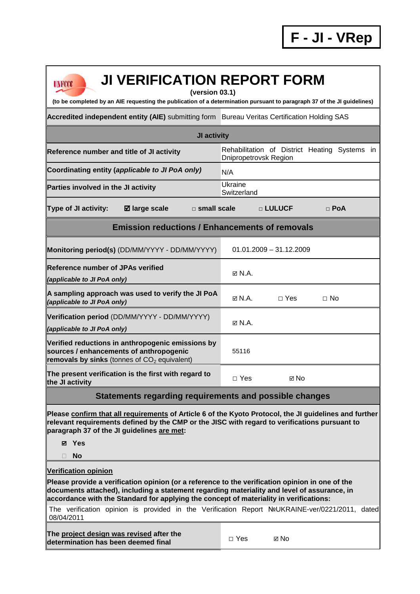| <b>JI VERIFICATION REPORT FORM</b><br><b>UNFCCC</b><br>(version 03.1)<br>(to be completed by an AIE requesting the publication of a determination pursuant to paragraph 37 of the JI guidelines)                                                                                         |                                                                                                |  |  |  |  |  |  |
|------------------------------------------------------------------------------------------------------------------------------------------------------------------------------------------------------------------------------------------------------------------------------------------|------------------------------------------------------------------------------------------------|--|--|--|--|--|--|
| Accredited independent entity (AIE) submitting form Bureau Veritas Certification Holding SAS                                                                                                                                                                                             |                                                                                                |  |  |  |  |  |  |
| JI activity                                                                                                                                                                                                                                                                              |                                                                                                |  |  |  |  |  |  |
| Reference number and title of JI activity                                                                                                                                                                                                                                                | Rehabilitation of District Heating Systems in<br>Dnipropetrovsk Region                         |  |  |  |  |  |  |
| Coordinating entity (applicable to JI PoA only)                                                                                                                                                                                                                                          | N/A                                                                                            |  |  |  |  |  |  |
| Parties involved in the JI activity                                                                                                                                                                                                                                                      | Ukraine<br>Switzerland                                                                         |  |  |  |  |  |  |
| <b>Type of JI activity:</b><br><b>Ø</b> large scale<br>$\square$ small scale                                                                                                                                                                                                             | □ LULUCF<br>$\Box$ PoA                                                                         |  |  |  |  |  |  |
| <b>Emission reductions / Enhancements of removals</b>                                                                                                                                                                                                                                    |                                                                                                |  |  |  |  |  |  |
| Monitoring period(s) (DD/MM/YYYY - DD/MM/YYYY)                                                                                                                                                                                                                                           | $01.01.2009 - 31.12.2009$                                                                      |  |  |  |  |  |  |
| <b>Reference number of JPAs verified</b><br>(applicable to JI PoA only)                                                                                                                                                                                                                  | $\boxtimes$ N.A.                                                                               |  |  |  |  |  |  |
| A sampling approach was used to verify the JI PoA<br>(applicable to JI PoA only)                                                                                                                                                                                                         | $\boxtimes$ N.A.<br>$\Box$ Yes<br>$\Box$ No                                                    |  |  |  |  |  |  |
| Verification period (DD/MM/YYYY - DD/MM/YYYY)<br>(applicable to JI PoA only)                                                                                                                                                                                                             | $\boxtimes$ N.A.                                                                               |  |  |  |  |  |  |
| Verified reductions in anthropogenic emissions by<br>sources / enhancements of anthropogenic<br>removals by sinks (tonnes of $CO2$ equivalent)                                                                                                                                           | 55116                                                                                          |  |  |  |  |  |  |
| The present verification is the first with regard to<br>the JI activity                                                                                                                                                                                                                  | $\Box$ Yes<br>⊠ No                                                                             |  |  |  |  |  |  |
| Statements regarding requirements and possible changes                                                                                                                                                                                                                                   |                                                                                                |  |  |  |  |  |  |
| Please confirm that all requirements of Article 6 of the Kyoto Protocol, the JI guidelines and further<br>relevant requirements defined by the CMP or the JISC with regard to verifications pursuant to<br>paragraph 37 of the JI guidelines are met:<br>⊠ Yes<br><b>No</b><br>П         |                                                                                                |  |  |  |  |  |  |
| <b>Verification opinion</b>                                                                                                                                                                                                                                                              |                                                                                                |  |  |  |  |  |  |
| Please provide a verification opinion (or a reference to the verification opinion in one of the<br>documents attached), including a statement regarding materiality and level of assurance, in<br>accordance with the Standard for applying the concept of materiality in verifications: |                                                                                                |  |  |  |  |  |  |
| 08/04/2011                                                                                                                                                                                                                                                                               | The verification opinion is provided in the Verification Report NºUKRAINE-ver/0221/2011, dated |  |  |  |  |  |  |
| The project design was revised after the<br>determination has been deemed final                                                                                                                                                                                                          | $\Box$ Yes<br>⊠ No                                                                             |  |  |  |  |  |  |